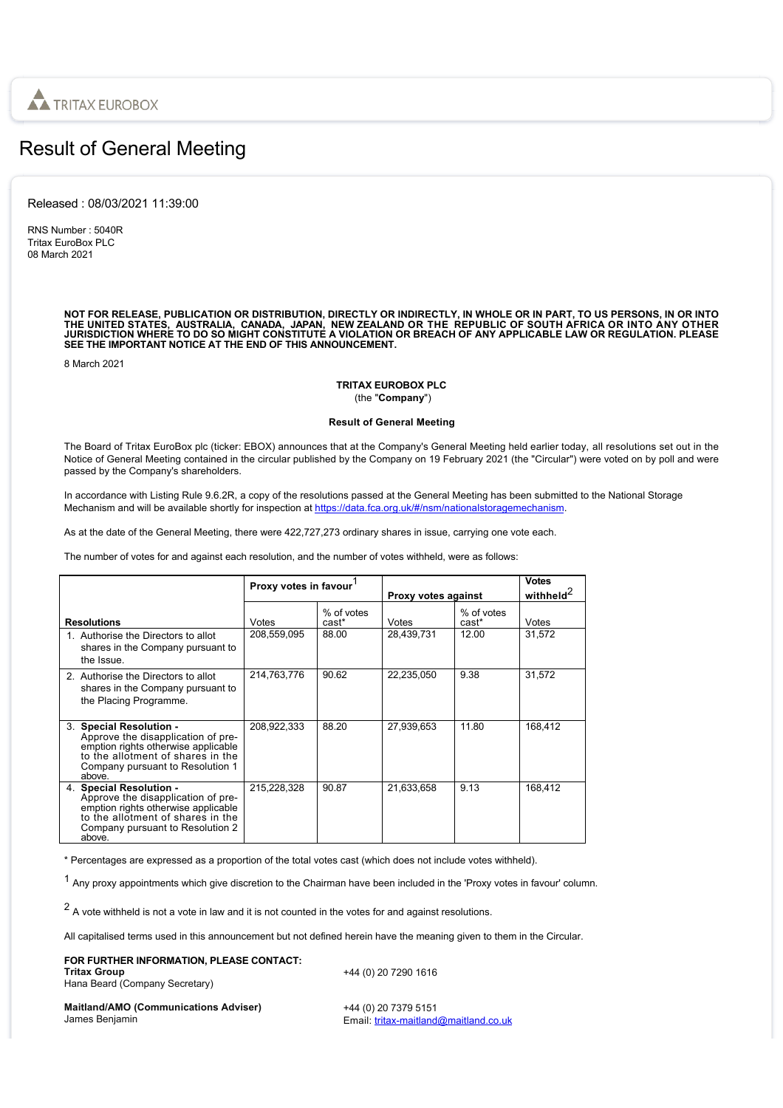

# Result of General Meeting

Released : 08/03/2021 11:39:00

RNS Number : 5040R Tritax EuroBox PLC 08 March 2021

NOT FOR RELEASE, PUBLICATION OR DISTRIBUTION, DIRECTLY OR INDIRECTLY, IN WHOLE OR IN PART, TO US PERSONS, IN OR INTO<br>THE UNITED STATES, AUSTRALIA, CANADA, JAPAN, NEW ZEALAND OR THE REPUBLIC OF SOUTH AFRICA OR INTO ANY OTHE

8 March 2021

## **TRITAX EUROBOX PLC** (the "**Company**")

## **Result of General Meeting**

The Board of Tritax EuroBox plc (ticker: EBOX) announces that at the Company's General Meeting held earlier today, all resolutions set out in the Notice of General Meeting contained in the circular published by the Company on 19 February 2021 (the "Circular") were voted on by poll and were passed by the Company's shareholders.

In accordance with Listing Rule 9.6.2R, a copy of the resolutions passed at the General Meeting has been submitted to the National Storage Mechanism and will be available shortly for inspection at [https://data.fca.org.uk/#/nsm/nationalstoragemechanism.](https://data.fca.org.uk/#/nsm/nationalstoragemechanism)

As at the date of the General Meeting, there were 422,727,273 ordinary shares in issue, carrying one vote each.

The number of votes for and against each resolution, and the number of votes withheld, were as follows:

|                                                                                                                                                                                         | Proxy votes in favour <sup>1</sup> |                     | Proxy votes against |                     | <b>Votes</b><br>withheld <sup>2</sup> |
|-----------------------------------------------------------------------------------------------------------------------------------------------------------------------------------------|------------------------------------|---------------------|---------------------|---------------------|---------------------------------------|
| <b>Resolutions</b>                                                                                                                                                                      | Votes                              | % of votes<br>cast* | Votes               | % of votes<br>cast* | Votes                                 |
| 1. Authorise the Directors to allot<br>shares in the Company pursuant to<br>the Issue                                                                                                   | 208,559,095                        | 88.00               | 28,439,731          | 12.00               | 31.572                                |
| 2. Authorise the Directors to allot<br>shares in the Company pursuant to<br>the Placing Programme.                                                                                      | 214,763,776                        | 90.62               | 22,235,050          | 9.38                | 31,572                                |
| 3. Special Resolution -<br>Approve the disapplication of pre-<br>emption rights otherwise applicable<br>to the allotment of shares in the<br>Company pursuant to Resolution 1<br>above. | 208,922,333                        | 88.20               | 27.939.653          | 11.80               | 168.412                               |
| 4. Special Resolution -<br>Approve the disapplication of pre-<br>emption rights otherwise applicable<br>to the allotment of shares in the<br>Company pursuant to Resolution 2<br>above. | 215,228,328                        | 90.87               | 21,633,658          | 9.13                | 168.412                               |

\* Percentages are expressed as a proportion of the total votes cast (which does not include votes withheld).

<sup>1</sup> Any proxy appointments which give discretion to the Chairman have been included in the 'Proxy votes in favour' column.

 $2$  A vote withheld is not a vote in law and it is not counted in the votes for and against resolutions.

All capitalised terms used in this announcement but not defined herein have the meaning given to them in the Circular.

| FOR FURTHER INFORMATION. PLEASE CONTACT: |  |
|------------------------------------------|--|
| <b>Tritax Group</b>                      |  |
| Hana Beard (Company Secretary)           |  |

+44 (0) 20 7290 1616

**Maitland/AMO (Communications Adviser)** James Benjamin

+44 (0) 20 7379 5151 Email: [tritax-maitland@maitland.co.uk](mailto:tritax-maitland@maitland.co.uk)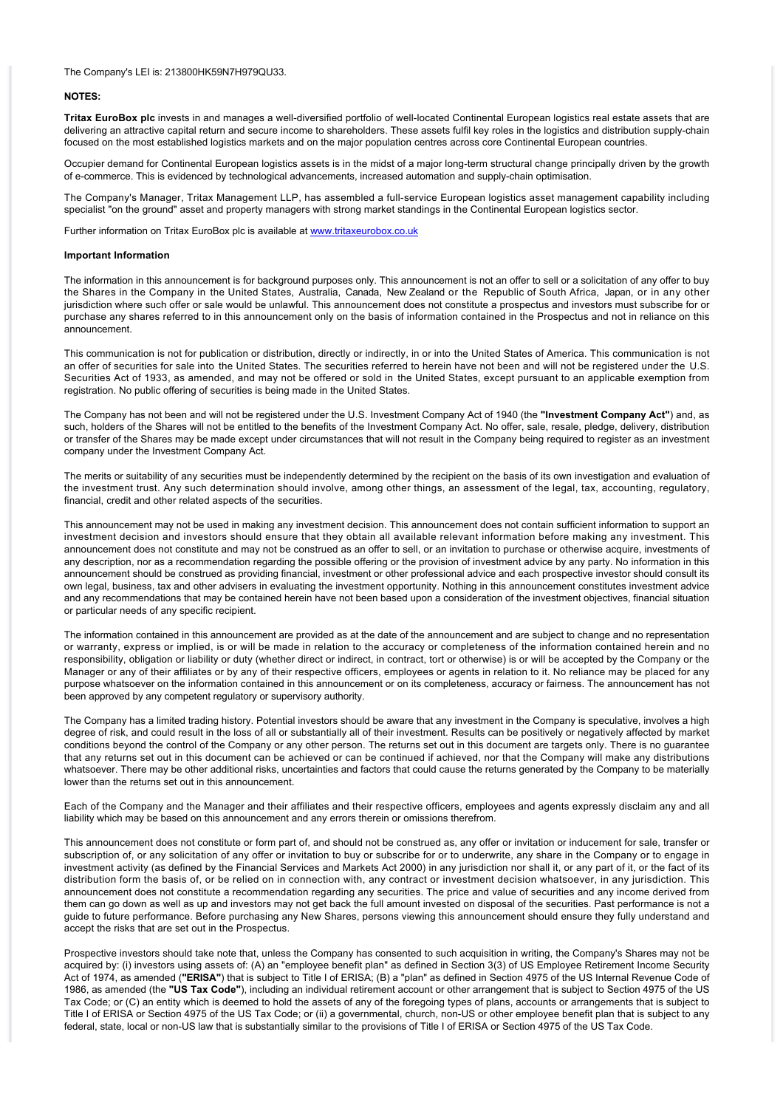#### The Company's LEI is: 213800HK59N7H979QU33.

## **NOTES:**

**Tritax EuroBox plc** invests in and manages a well-diversified portfolio of well-located Continental European logistics real estate assets that are delivering an attractive capital return and secure income to shareholders. These assets fulfil key roles in the logistics and distribution supply-chain focused on the most established logistics markets and on the major population centres across core Continental European countries.

Occupier demand for Continental European logistics assets is in the midst of a major long-term structural change principally driven by the growth of e-commerce. This is evidenced by technological advancements, increased automation and supply-chain optimisation.

The Company's Manager, Tritax Management LLP, has assembled a full-service European logistics asset management capability including specialist "on the ground" asset and property managers with strong market standings in the Continental European logistics sector.

Further information on Tritax EuroBox plc is available at [www.tritaxeurobox.co.uk](http://www.tritaxeurobox.co.uk/)

### **Important Information**

The information in this announcement is for background purposes only. This announcement is not an offer to sell or a solicitation of any offer to buy the Shares in the Company in the United States, Australia, Canada, New Zealand or the Republic of South Africa, Japan, or in any other jurisdiction where such offer or sale would be unlawful. This announcement does not constitute a prospectus and investors must subscribe for or purchase any shares referred to in this announcement only on the basis of information contained in the Prospectus and not in reliance on this announcement.

This communication is not for publication or distribution, directly or indirectly, in or into the United States of America. This communication is not an offer of securities for sale into the United States. The securities referred to herein have not been and will not be registered under the U.S. Securities Act of 1933, as amended, and may not be offered or sold in the United States, except pursuant to an applicable exemption from registration. No public offering of securities is being made in the United States.

The Company has not been and will not be registered under the U.S. Investment Company Act of 1940 (the **"Investment Company Act"**) and, as such, holders of the Shares will not be entitled to the benefits of the Investment Company Act. No offer, sale, resale, pledge, delivery, distribution or transfer of the Shares may be made except under circumstances that will not result in the Company being required to register as an investment company under the Investment Company Act.

The merits or suitability of any securities must be independently determined by the recipient on the basis of its own investigation and evaluation of the investment trust. Any such determination should involve, among other things, an assessment of the legal, tax, accounting, regulatory, financial, credit and other related aspects of the securities.

This announcement may not be used in making any investment decision. This announcement does not contain sufficient information to support an investment decision and investors should ensure that they obtain all available relevant information before making any investment. This announcement does not constitute and may not be construed as an offer to sell, or an invitation to purchase or otherwise acquire, investments of any description, nor as a recommendation regarding the possible offering or the provision of investment advice by any party. No information in this announcement should be construed as providing financial, investment or other professional advice and each prospective investor should consult its own legal, business, tax and other advisers in evaluating the investment opportunity. Nothing in this announcement constitutes investment advice and any recommendations that may be contained herein have not been based upon a consideration of the investment objectives, financial situation or particular needs of any specific recipient.

The information contained in this announcement are provided as at the date of the announcement and are subject to change and no representation or warranty, express or implied, is or will be made in relation to the accuracy or completeness of the information contained herein and no responsibility, obligation or liability or duty (whether direct or indirect, in contract, tort or otherwise) is or will be accepted by the Company or the Manager or any of their affiliates or by any of their respective officers, employees or agents in relation to it. No reliance may be placed for any purpose whatsoever on the information contained in this announcement or on its completeness, accuracy or fairness. The announcement has not been approved by any competent regulatory or supervisory authority.

The Company has a limited trading history. Potential investors should be aware that any investment in the Company is speculative, involves a high degree of risk, and could result in the loss of all or substantially all of their investment. Results can be positively or negatively affected by market conditions beyond the control of the Company or any other person. The returns set out in this document are targets only. There is no guarantee that any returns set out in this document can be achieved or can be continued if achieved, nor that the Company will make any distributions whatsoever. There may be other additional risks, uncertainties and factors that could cause the returns generated by the Company to be materially lower than the returns set out in this announcement.

Each of the Company and the Manager and their affiliates and their respective officers, employees and agents expressly disclaim any and all liability which may be based on this announcement and any errors therein or omissions therefrom.

This announcement does not constitute or form part of, and should not be construed as, any offer or invitation or inducement for sale, transfer or subscription of, or any solicitation of any offer or invitation to buy or subscribe for or to underwrite, any share in the Company or to engage in investment activity (as defined by the Financial Services and Markets Act 2000) in any jurisdiction nor shall it, or any part of it, or the fact of its distribution form the basis of, or be relied on in connection with, any contract or investment decision whatsoever, in any jurisdiction. This announcement does not constitute a recommendation regarding any securities. The price and value of securities and any income derived from them can go down as well as up and investors may not get back the full amount invested on disposal of the securities. Past performance is not a guide to future performance. Before purchasing any New Shares, persons viewing this announcement should ensure they fully understand and accept the risks that are set out in the Prospectus.

Prospective investors should take note that, unless the Company has consented to such acquisition in writing, the Company's Shares may not be acquired by: (i) investors using assets of: (A) an "employee benefit plan" as defined in Section 3(3) of US Employee Retirement Income Security Act of 1974, as amended (**"ERISA"**) that is subject to Title I of ERISA; (B) a "plan" as defined in Section 4975 of the US Internal Revenue Code of 1986, as amended (the **"US Tax Code"**), including an individual retirement account or other arrangement that is subject to Section 4975 of the US Tax Code; or (C) an entity which is deemed to hold the assets of any of the foregoing types of plans, accounts or arrangements that is subject to Title I of ERISA or Section 4975 of the US Tax Code; or (ii) a governmental, church, non-US or other employee benefit plan that is subject to any federal, state, local or non-US law that is substantially similar to the provisions of Title I of ERISA or Section 4975 of the US Tax Code.